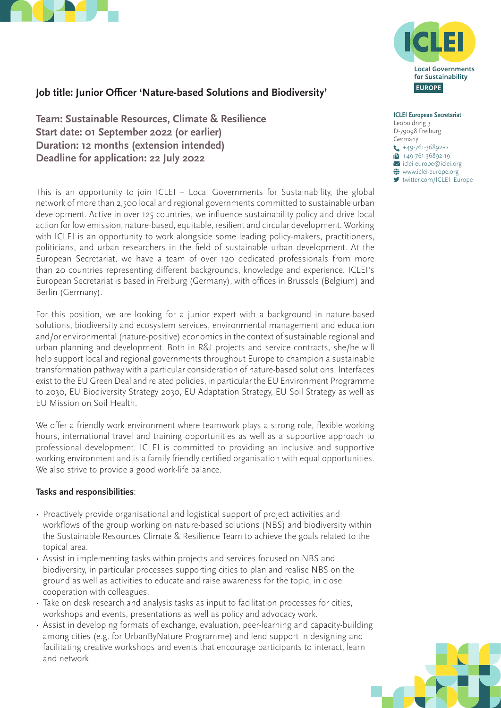



# **Job title: Junior Officer 'Nature-based Solutions and Biodiversity'**

**Team: Sustainable Resources, Climate & Resilience Start date: 01 September 2022 (or earlier) Duration: 12 months (extension intended) Deadline for application: 22 July 2022**

This is an opportunity to join ICLEI – Local Governments for Sustainability, the global network of more than 2,500 local and regional governments committed to sustainable urban development. Active in over 125 countries, we influence sustainability policy and drive local action for low emission, nature-based, equitable, resilient and circular development. Working with ICLEI is an opportunity to work alongside some leading policy-makers, practitioners, politicians, and urban researchers in the field of sustainable urban development. At the European Secretariat, we have a team of over 120 dedicated professionals from more than 20 countries representing different backgrounds, knowledge and experience. ICLEI's European Secretariat is based in Freiburg (Germany), with offices in Brussels (Belgium) and Berlin (Germany).

For this position, we are looking for a junior expert with a background in nature-based solutions, biodiversity and ecosystem services, environmental management and education and/or environmental (nature-positive) economics in the context of sustainable regional and urban planning and development. Both in R&I projects and service contracts, she/he will help support local and regional governments throughout Europe to champion a sustainable transformation pathway with a particular consideration of nature-based solutions. Interfaces exist to the EU Green Deal and related policies, in particular the EU Environment Programme to 2030, EU Biodiversity Strategy 2030, EU Adaptation Strategy, EU Soil Strategy as well as EU Mission on Soil Health.

We offer a friendly work environment where teamwork plays a strong role, flexible working hours, international travel and training opportunities as well as a supportive approach to professional development. ICLEI is committed to providing an inclusive and supportive working environment and is a family friendly certified organisation with equal opportunities. We also strive to provide a good work-life balance.

### **Tasks and responsibilities**:

- Proactively provide organisational and logistical support of project activities and workflows of the group working on nature-based solutions (NBS) and biodiversity within the Sustainable Resources Climate & Resilience Team to achieve the goals related to the topical area.
- Assist in implementing tasks within projects and services focused on NBS and biodiversity, in particular processes supporting cities to plan and realise NBS on the ground as well as activities to educate and raise awareness for the topic, in close cooperation with colleagues.
- Take on desk research and analysis tasks as input to facilitation processes for cities, workshops and events, presentations as well as policy and advocacy work.
- Assist in developing formats of exchange, evaluation, peer-learning and capacity-building among cities (e.g. for UrbanByNature Programme) and lend support in designing and facilitating creative workshops and events that encourage participants to interact, learn and network.

**ICLEI European Secretariat** Leopoldring 3 D-79098 Freiburg Germany  $\leftarrow$  +49-761-36892-0  $+49-761-36892-19$  $\overline{\phantom{a}}$  iclei-europe@iclei.org  $\bigoplus$  www.iclei-europe.org [twitter.com/ICLEI\\_Europe](https://twitter.com/ICLEI_Europe)

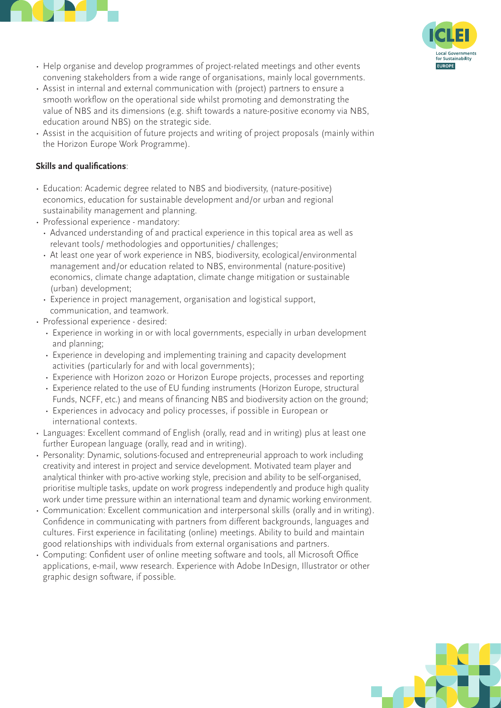



- Help organise and develop programmes of project-related meetings and other events convening stakeholders from a wide range of organisations, mainly local governments.
- Assist in internal and external communication with (project) partners to ensure a smooth workflow on the operational side whilst promoting and demonstrating the value of NBS and its dimensions (e.g. shift towards a nature-positive economy via NBS, education around NBS) on the strategic side.
- Assist in the acquisition of future projects and writing of project proposals (mainly within the Horizon Europe Work Programme).

# **Skills and qualifications**:

- Education: Academic degree related to NBS and biodiversity, (nature-positive) economics, education for sustainable development and/or urban and regional sustainability management and planning.
- Professional experience mandatory:
	- Advanced understanding of and practical experience in this topical area as well as relevant tools/ methodologies and opportunities/ challenges;
	- At least one year of work experience in NBS, biodiversity, ecological/environmental management and/or education related to NBS, environmental (nature-positive) economics, climate change adaptation, climate change mitigation or sustainable (urban) development;
	- Experience in project management, organisation and logistical support, communication, and teamwork.
- Professional experience desired:
	- Experience in working in or with local governments, especially in urban development and planning;
	- Experience in developing and implementing training and capacity development activities (particularly for and with local governments);
	- Experience with Horizon 2020 or Horizon Europe projects, processes and reporting
	- Experience related to the use of EU funding instruments (Horizon Europe, structural Funds, NCFF, etc.) and means of financing NBS and biodiversity action on the ground;
	- Experiences in advocacy and policy processes, if possible in European or international contexts.
- Languages: Excellent command of English (orally, read and in writing) plus at least one further European language (orally, read and in writing).
- Personality: Dynamic, solutions-focused and entrepreneurial approach to work including creativity and interest in project and service development. Motivated team player and analytical thinker with pro-active working style, precision and ability to be self-organised, prioritise multiple tasks, update on work progress independently and produce high quality work under time pressure within an international team and dynamic working environment.
- Communication: Excellent communication and interpersonal skills (orally and in writing). Confidence in communicating with partners from different backgrounds, languages and cultures. First experience in facilitating (online) meetings. Ability to build and maintain good relationships with individuals from external organisations and partners.
- Computing: Confident user of online meeting software and tools, all Microsoft Office applications, e-mail, www research. Experience with Adobe InDesign, Illustrator or other graphic design software, if possible.